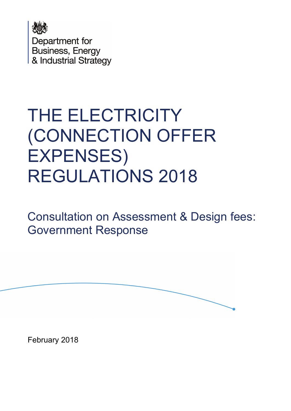

## THE ELECTRICITY (CONNECTION OFFER EXPENSES) REGULATIONS 2018

Consultation on Assessment & Design fees: Government Response



February 2018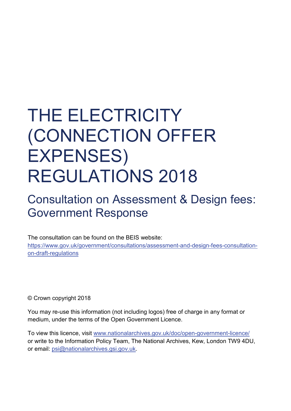## THE ELECTRICITY (CONNECTION OFFER EXPENSES) REGULATIONS 2018

Consultation on Assessment & Design fees: Government Response

 The consultation can be found on the BEIS website: https://www.gov.uk/government/consultations/assessment-and-design-fees-consultationon-draft-regulations

© Crown copyright 2018

 You may re-use this information (not including logos) free of charge in any format or medium, under the terms of the Open Government Licence.

 or write to the Information Policy Team, The National Archives, Kew, London TW9 4DU, To view this licence, visit www.nationalarchives.gov.uk/doc/open-government-licence/ or email: psi@nationalarchives.gsi.gov.uk.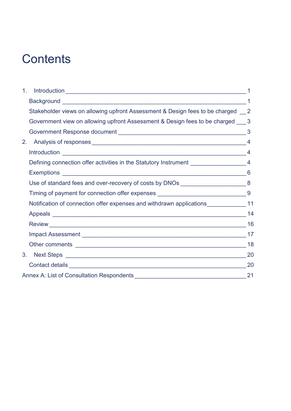## **Contents**

| Stakeholder views on allowing upfront Assessment & Design fees to be charged 2              |  |
|---------------------------------------------------------------------------------------------|--|
| Government view on allowing upfront Assessment & Design fees to be charged _____ 3          |  |
|                                                                                             |  |
|                                                                                             |  |
|                                                                                             |  |
| Defining connection offer activities in the Statutory Instrument _________________________4 |  |
|                                                                                             |  |
| Use of standard fees and over-recovery of costs by DNOs ________________________8           |  |
| Timing of payment for connection offer expenses _________________________________9          |  |
| Notification of connection offer expenses and withdrawn applications_____________ 11        |  |
|                                                                                             |  |
|                                                                                             |  |
|                                                                                             |  |
|                                                                                             |  |
|                                                                                             |  |
| Contact details 20                                                                          |  |
|                                                                                             |  |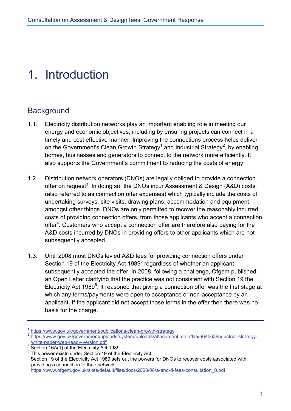# 1. Introduction<br><sub>Background</sub>

- timely and cost effective manner. Improving the connections process helps deliver on the Government's Clean Growth Strategy<sup>1</sup> and Industrial Strategy<sup>2</sup>, by enabling homes, businesses and generators to connect to the network more efficiently. It 1.1. Electricity distribution networks play an important enabling role in meeting our energy and economic objectives, including by ensuring projects can connect in a also supports the Government's commitment to reducing the costs of energy
- offer on request<sup>3</sup>. In doing so, the DNOs incur Assessment & Design (A&D) costs (also referred to as connection offer expenses) which typically include the costs of A&D costs incurred by DNOs in providing offers to other applicants which are not 1.2. Distribution network operators (DNOs) are legally obliged to provide a connection undertaking surveys, site visits, drawing plans, accommodation and equipment amongst other things. DNOs are only permitted to recover the reasonably incurred costs of providing connection offers, from those applicants who accept a connection offer<sup>4</sup>. Customers who accept a connection offer are therefore also paying for the subsequently accepted.
- 1.3. Until 2008 most DNOs levied A&D fees for providing connection offers under Section 19 of the Electricity Act 1989<sup>5</sup> regardless of whether an applicant which any terms/payments were open to acceptance or non-acceptance by an applicant. If the applicant did not accept those terms in the offer then there was no basis for the charge. subsequently accepted the offer. In 2008, following a challenge, Ofgem published an Open Letter clarifying that the practice was not consistent with Section 19 the Electricity Act 1989<sup>6</sup>. It reasoned that giving a connection offer was the first stage at

https://www.gov.uk/government/publications/clean-growth-strategy

<sup>2</sup> https://www.gov.uk/government/uploads/system/uploads/attachment\_data/file/664563/industrial-strategy-<br>white-paper-web-ready-version.pdf

white-paper-web-ready-version.pdf<br><sup>3</sup> Section 16A(1) of the Electricity Act 1989

 $^4$  This power exists under Section 19 of the Electricity Act<br><sup>5</sup> Section 19 of the Electricity Act 1989 sets out the powers for DNOs to recover costs associated with

Ì. providing a connection to their network.<br><sup>6</sup> https://www.ofgem.gov.uk/sites/default/files/docs/2008/08/a-and-d-fees-consultation\_0.pdf<br>1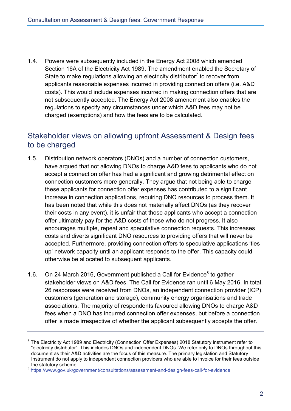Section 16A of the Electricity Act 1989. The amendment enabled the Secretary of regulations to specify any circumstances under which A&D fees may not be charged (exemptions) and how the fees are to be calculated. 1.4. Powers were subsequently included in the Energy Act 2008 which amended State to make regulations allowing an electricity distributor<sup>7</sup> to recover from applicants reasonable expenses incurred in providing connection offers (i.e. A&D costs). This would include expenses incurred in making connection offers that are not subsequently accepted. The Energy Act 2008 amendment also enables the

#### Stakeholder views on allowing upfront Assessment & Design fees to be charged

- 1.5. Distribution network operators (DNOs) and a number of connection customers, has been noted that while this does not materially affect DNOs (as they recover up' network capacity until an applicant responds to the offer. This capacity could have argued that not allowing DNOs to charge A&D fees to applicants who do not accept a connection offer has had a significant and growing detrimental effect on connection customers more generally. They argue that not being able to charge these applicants for connection offer expenses has contributed to a significant increase in connection applications, requiring DNO resources to process them. It their costs in any event), it is unfair that those applicants who accept a connection offer ultimately pay for the A&D costs of those who do not progress. It also encourages multiple, repeat and speculative connection requests. This increases costs and diverts significant DNO resources to providing offers that will never be accepted. Furthermore, providing connection offers to speculative applications 'ties otherwise be allocated to subsequent applicants.
- 1.6. On 24 March 2016, Government published a Call for Evidence $8$  to gather stakeholder views on A&D fees. The Call for Evidence ran until 6 May 2016. In total, customers (generation and storage), community energy organisations and trade 26 responses were received from DNOs, an independent connection provider (ICP), associations. The majority of respondents favoured allowing DNOs to charge A&D fees when a DNO has incurred connection offer expenses, but before a connection offer is made irrespective of whether the applicant subsequently accepts the offer.

 $7$  The Electricity Act 1989 and Electricity (Connection Offer Expenses) 2018 Statutory Instrument refer to "electricity distributor". This includes DNOs and independent DNOs. We refer only to DNOs throughout this document as their A&D activities are the focus of this measure. The primary legislation and Statutory Instrument do not apply to independent connection providers who are able to invoice for their fees outside the statutory scheme.  $^8$  https://www.gov.uk/government/consultations/assessment-and-design-fees-call-for-evidence 2

l,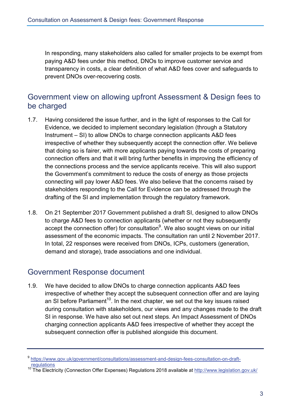In responding, many stakeholders also called for smaller projects to be exempt from paying A&D fees under this method, DNOs to improve customer service and transparency in costs, a clear definition of what A&D fees cover and safeguards to prevent DNOs over-recovering costs.

#### Government view on allowing upfront Assessment & Design fees to be charged

- Evidence, we decided to implement secondary legislation (through a Statutory Instrument – SI) to allow DNOs to charge connection applicants A&D fees that doing so is fairer, with more applicants paying towards the costs of preparing stakeholders responding to the Call for Evidence can be addressed through the 1.7. Having considered the issue further, and in the light of responses to the Call for irrespective of whether they subsequently accept the connection offer. We believe connection offers and that it will bring further benefits in improving the efficiency of the connections process and the service applicants receive. This will also support the Government's commitment to reduce the costs of energy as those projects connecting will pay lower A&D fees. We also believe that the concerns raised by drafting of the SI and implementation through the regulatory framework.
- assessment of the economic impacts. The consultation ran until 2 November 2017. In total, 22 responses were received from DNOs, ICPs, customers (generation, 1.8. On 21 September 2017 Government published a draft SI, designed to allow DNOs to charge A&D fees to connection applicants (whether or not they subsequently accept the connection offer) for consultation<sup>9</sup>. We also sought views on our initial demand and storage), trade associations and one individual.

#### Government Response document

 irrespective of whether they accept the subsequent connection offer and are laying during consultation with stakeholders, our views and any changes made to the draft SI in response. We have also set out next steps. An Impact Assessment of DNOs 1.9. We have decided to allow DNOs to charge connection applicants A&D fees an SI before Parliament<sup>10</sup>. In the next chapter, we set out the key issues raised charging connection applicants A&D fees irrespective of whether they accept the subsequent connection offer is published alongside this document.

l, 9 https://www.gov.uk/government/consultations/assessment-and-design-fees-consultation-on-draft-

<sup>!</sup>  $^{10}$ The Electricity (Connection Offer Expenses) Regulations 2018 available at http://www.legislation.gov.uk/<br> $^{10}$ The Electricity (Connection Offer Expenses) Regulations 2018 available at http://www.legislation.gov.uk/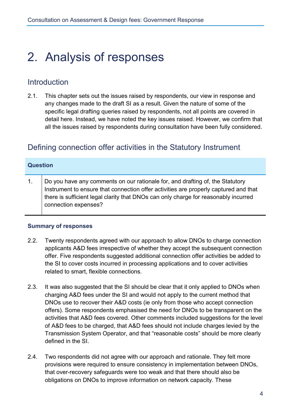## 2. Analysis of responses

#### **Introduction**

 any changes made to the draft SI as a result. Given the nature of some of the specific legal drafting queries raised by respondents, not all points are covered in detail here. Instead, we have noted the key issues raised. However, we confirm that 2.1. This chapter sets out the issues raised by respondents, our view in response and all the issues raised by respondents during consultation have been fully considered.

#### Defining connection offer activities in the Statutory Instrument

| <b>Question</b> |                                                                                                                                                                                                                                                                                      |  |
|-----------------|--------------------------------------------------------------------------------------------------------------------------------------------------------------------------------------------------------------------------------------------------------------------------------------|--|
|                 | Do you have any comments on our rationale for, and drafting of, the Statutory<br>Instrument to ensure that connection offer activities are properly captured and that<br>there is sufficient legal clarity that DNOs can only charge for reasonably incurred<br>connection expenses? |  |

#### **Summary of responses**

- $2.2.$ Twenty respondents agreed with our approach to allow DNOs to charge connection applicants A&D fees irrespective of whether they accept the subsequent connection offer. Five respondents suggested additional connection offer activities be added to the SI to cover costs incurred in processing applications and to cover activities related to smart, flexible connections.
- activities that A&D fees covered. Other comments included suggestions for the level defined in the SI. 2.3. It was also suggested that the SI should be clear that it only applied to DNOs when charging A&D fees under the SI and would not apply to the current method that DNOs use to recover their A&D costs (ie only from those who accept connection offers). Some respondents emphasised the need for DNOs to be transparent on the of A&D fees to be charged, that A&D fees should not include charges levied by the Transmission System Operator, and that "reasonable costs" should be more clearly
- 2.4. Two respondents did not agree with our approach and rationale. They felt more provisions were required to ensure consistency in implementation between DNOs, that over-recovery safeguards were too weak and that there should also be obligations on DNOs to improve information on network capacity. These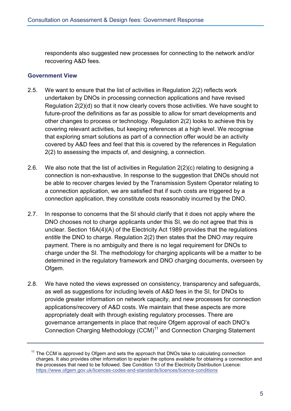respondents also suggested new processes for connecting to the network and/or recovering A&D fees.

#### **Government View**

- that exploring smart solutions as part of a connection offer would be an activity covered by A&D fees and feel that this is covered by the references in Regulation 2.5. We want to ensure that the list of activities in Regulation 2(2) reflects work undertaken by DNOs in processing connection applications and have revised Regulation 2(2)(d) so that it now clearly covers those activities. We have sought to future-proof the definitions as far as possible to allow for smart developments and other changes to process or technology. Regulation 2(2) looks to achieve this by covering relevant activities, but keeping references at a high level. We recognise 2(2) to assessing the impacts of, and designing, a connection.
- 2.6. We also note that the list of activities in Regulation 2(2)(c) relating to designing a connection is non-exhaustive. In response to the suggestion that DNOs should not be able to recover charges levied by the Transmission System Operator relating to a connection application, we are satisfied that if such costs are triggered by a connection application, they constitute costs reasonably incurred by the DNO.
- *entitle* the DNO to charge. Regulation 2(2) then states that the DNO *may* require charge under the SI. The methodology for charging applicants will be a matter to be 2.7. In response to concerns that the SI should clarify that it does not apply where the DNO chooses not to charge applicants under this SI, we do not agree that this is unclear. Section 16A(4)(A) of the Electricity Act 1989 provides that the regulations payment. There is no ambiguity and there is no legal requirement for DNOs to determined in the regulatory framework and DNO charging documents, overseen by Ofgem.
- as well as suggestions for including levels of A&D fees in the SI, for DNOs to governance arrangements in place that require Ofgem approval of each DNO's Connection Charging Methodology (CCM)<sup>11</sup> and Connection Charging Statement 2.8. We have noted the views expressed on consistency, transparency and safeguards, provide greater information on network capacity, and new processes for connection applications/recovery of A&D costs. We maintain that these aspects are more appropriately dealt with through existing regulatory processes. There are

 $11$  The CCM is approved by Ofgem and sets the approach that DNOs take to calculating connection charges. It also provides other information to explain the options available for obtaining a connection and the processes that need to be followed. See Condition 13 of the Electricity Distribution Licence: https://www.ofgem.gov.uk/licences-codes-and-standards/licences/licence-conditions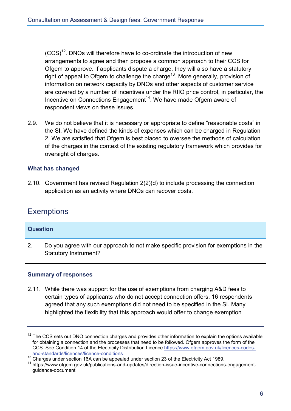$(CCS)^{12}$ . DNOs will therefore have to co-ordinate the introduction of new right of appeal to Ofgem to challenge the charge<sup>13</sup>. More generally, provision of arrangements to agree and then propose a common approach to their CCS for Ofgem to approve. If applicants dispute a charge, they will also have a statutory information on network capacity by DNOs and other aspects of customer service are covered by a number of incentives under the RIIO price control, in particular, the Incentive on Connections Engagement<sup>14</sup>. We have made Ofgem aware of respondent views on these issues.

2.9. We do not believe that it is necessary or appropriate to define "reasonable costs" in the SI. We have defined the kinds of expenses which can be charged in Regulation of the charges in the context of the existing regulatory framework which provides for 2. We are satisfied that Ofgem is best placed to oversee the methods of calculation oversight of charges.

#### **What has changed**

2.10. Government has revised Regulation 2(2)(d) to include processing the connection application as an activity where DNOs can recover costs.

#### **Exemptions**

| <b>Question</b> |                                                                                                                     |  |
|-----------------|---------------------------------------------------------------------------------------------------------------------|--|
| 2.              | Do you agree with our approach to not make specific provision for exemptions in the<br><b>Statutory Instrument?</b> |  |

#### **Summary of responses**

2.11. While there was support for the use of exemptions from charging A&D fees to certain types of applicants who do not accept connection offers, 16 respondents agreed that any such exemptions did not need to be specified in the SI. Many highlighted the flexibility that this approach would offer to change exemption

 $12$  The CCS sets out DNO connection charges and provides other information to explain the options available for obtaining a connection and the processes that need to be followed. Ofgem approves the form of the CCS. See Condition 14 of the Electricity Distribution Licence https://www.ofgem.gov.uk/licences-codesand-standards/licences/licence-conditions<br>
<sup>13</sup> Charges under section 16A can be appealed under section 23 of the Electricity Act 1989.

<sup>&</sup>lt;sup>14</sup> https://www.ofgem.gov.uk/publications-and-updates/direction-issue-incentive-connections-engagementguidance-document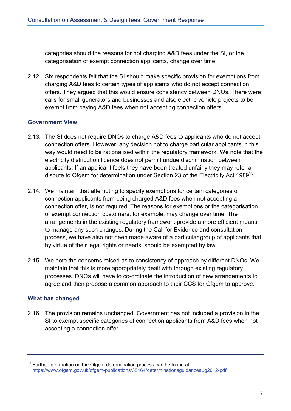categories should the reasons for not charging A&D fees under the SI, or the categorisation of exempt connection applicants, change over time.

2.12. Six respondents felt that the SI should make specific provision for exemptions from charging A&D fees to certain types of applicants who do not accept connection offers. They argued that this would ensure consistency between DNOs. There were calls for small generators and businesses and also electric vehicle projects to be exempt from paying A&D fees when not accepting connection offers.

#### **Government View**

- 2.13. The SI does not require DNOs to charge A&D fees to applicants who do not accept applicants. If an applicant feels they have been treated unfairly they may refer a dispute to Ofgem for determination under Section 23 of the Electricity Act 1989<sup>15</sup>. connection offers. However, any decision not to charge particular applicants in this way would need to be rationalised within the regulatory framework. We note that the electricity distribution licence does not permit undue discrimination between
- of exempt connection customers, for example, may change over time. The arrangements in the existing regulatory framework provide a more efficient means 2.14. We maintain that attempting to specify exemptions for certain categories of connection applicants from being charged A&D fees when not accepting a connection offer, is not required. The reasons for exemptions or the categorisation to manage any such changes. During the Call for Evidence and consultation process, we have also not been made aware of a particular group of applicants that, by virtue of their legal rights or needs, should be exempted by law.
- 2.15. We note the concerns raised as to consistency of approach by different DNOs. We maintain that this is more appropriately dealt with through existing regulatory processes. DNOs will have to co-ordinate the introduction of new arrangements to agree and then propose a common approach to their CCS for Ofgem to approve.

#### **What has changed**

2.16. The provision remains unchanged. Government has not included a provision in the SI to exempt specific categories of connection applicants from A&D fees when not accepting a connection offer.

 $15$  Further information on the Ofgem determination process can be found at: https://www.ofgem.gov.uk/ofgem-publications/38164/determinationsguidanceaug2012-pdf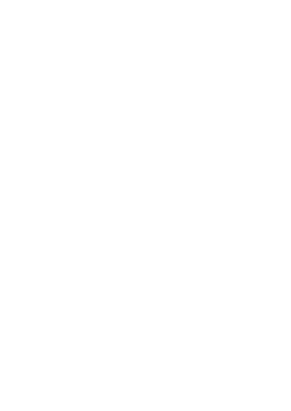## THE ELECTRICITY (CONNECTION OFFER **EXPENSES) REGULATIONS 2018**

**Consultation on Assessment & Design fees: Government Response** 

The consultation can be found on the BEIS website: https://www.gov.uk/government/consultations/assessment-and-design-fees-consultationon-draft-regulations

© Crown copyright 2018

You may re-use this information (not including logos) free of charge in any format or medium, under the terms of the Open Government Licence.

To view this licence, visit www.nationalarchives.gov.uk/doc/open-government-licence/ or write to the Information Policy Team, The National Archives, Kew, London TW9 4DU. or email: psi@nationalarchives.gsi.gov.uk.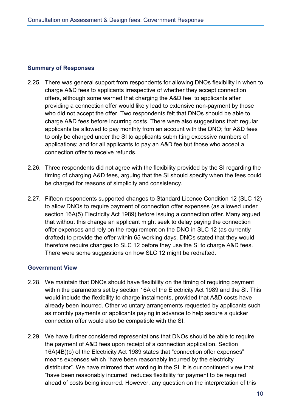#### **Summary of Responses**

- charge A&D fees before incurring costs. There were also suggestions that: regular applicants be allowed to pay monthly from an account with the DNO; for A&D fees applications; and for all applicants to pay an A&D fee but those who accept a 2.25. There was general support from respondents for allowing DNOs flexibility in when to charge A&D fees to applicants irrespective of whether they accept connection offers, although some warned that charging the A&D fee to applicants after providing a connection offer would likely lead to extensive non-payment by those who did not accept the offer. Two respondents felt that DNOs should be able to to only be charged under the SI to applicants submitting excessive numbers of connection offer to receive refunds.
- 2.26. Three respondents did not agree with the flexibility provided by the SI regarding the timing of charging A&D fees, arguing that the SI should specify when the fees could be charged for reasons of simplicity and consistency.
- 2.27. Fifteen respondents supported changes to Standard Licence Condition 12 (SLC 12) section 16A(5) Electricity Act 1989) before issuing a connection offer. Many argued to allow DNOs to require payment of connection offer expenses (as allowed under that without this change an applicant might seek to delay paying the connection offer expenses and rely on the requirement on the DNO in SLC 12 (as currently drafted) to provide the offer within 65 working days. DNOs stated that they would therefore require changes to SLC 12 before they use the SI to charge A&D fees. There were some suggestions on how SLC 12 might be redrafted.

#### **Government View**

- within the parameters set by section 16A of the Electricity Act 1989 and the SI. This already been incurred. Other voluntary arrangements requested by applicants such as monthly payments or applicants paying in advance to help secure a quicker connection offer would also be compatible with the SI. 2.28. We maintain that DNOs should have flexibility on the timing of requiring payment would include the flexibility to charge instalments, provided that A&D costs have
- 2.29. We have further considered representations that DNOs should be able to require the payment of A&D fees upon receipt of a connection application. Section 16A(4B)(b) of the Electricity Act 1989 states that "connection offer expenses" means expenses which "have been reasonably incurred by the electricity distributor". We have mirrored that wording in the SI. It is our continued view that "have been reasonably incurred" reduces flexibility for payment to be required ahead of costs being incurred. However, any question on the interpretation of this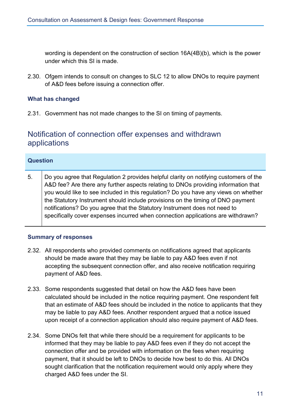wording is dependent on the construction of section 16A(4B)(b), which is the power under which this SI is made.

2.30. Ofgem intends to consult on changes to SLC 12 to allow DNOs to require payment of A&D fees before issuing a connection offer.

#### **What has changed**

2.31. Government has not made changes to the SI on timing of payments.

#### Notification of connection offer expenses and withdrawn applications

| <b>Question</b> |                                                                                                                                                                                                                                                                                                                                                                                                                                                                                                                         |
|-----------------|-------------------------------------------------------------------------------------------------------------------------------------------------------------------------------------------------------------------------------------------------------------------------------------------------------------------------------------------------------------------------------------------------------------------------------------------------------------------------------------------------------------------------|
| 5.              | Do you agree that Regulation 2 provides helpful clarity on notifying customers of the<br>A&D fee? Are there any further aspects relating to DNOs providing information that<br>you would like to see included in this regulation? Do you have any views on whether<br>the Statutory Instrument should include provisions on the timing of DNO payment<br>notifications? Do you agree that the Statutory Instrument does not need to<br>specifically cover expenses incurred when connection applications are withdrawn? |

#### **Summary of responses**

- 2.32. All respondents who provided comments on notifications agreed that applicants should be made aware that they may be liable to pay A&D fees even if not accepting the subsequent connection offer, and also receive notification requiring payment of A&D fees.
- calculated should be included in the notice requiring payment. One respondent felt that an estimate of A&D fees should be included in the notice to applicants that they may be liable to pay A&D fees. Another respondent argued that a notice issued 2.33. Some respondents suggested that detail on how the A&D fees have been upon receipt of a connection application should also require payment of A&D fees.
- 2.34. Some DNOs felt that while there should be a requirement for applicants to be informed that they may be liable to pay A&D fees even if they do not accept the connection offer and be provided with information on the fees when requiring payment, that it should be left to DNOs to decide how best to do this. All DNOs sought clarification that the notification requirement would only apply where they charged A&D fees under the SI.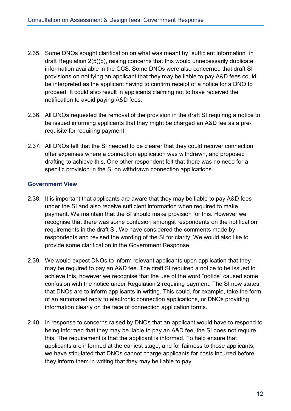- provisions on notifying an applicant that they may be liable to pay A&D fees could be interpreted as the applicant having to confirm receipt of a notice for a DNO to notification to avoid paying A&D fees. 2.35. Some DNOs sought clarification on what was meant by "sufficient information" in draft Regulation 2(5)(b), raising concerns that this would unnecessarily duplicate information available in the CCS. Some DNOs were also concerned that draft SI proceed. It could also result in applicants claiming not to have received the
- be issued informing applicants that they might be charged an A&D fee as a pre-2.36. All DNOs requested the removal of the provision in the draft SI requiring a notice to requisite for requiring payment.
- specific provision in the SI on withdrawn connection applications. 2.37. All DNOs felt that the SI needed to be clearer that they could recover connection offer expenses where a connection application was withdrawn, and proposed drafting to achieve this. One other respondent felt that there was no need for a

#### **Government View**

- under the SI and also receive sufficient information when required to make requirements in the draft SI. We have considered the comments made by respondents and revised the wording of the SI for clarity. We would also like to 2.38. It is important that applicants are aware that they may be liable to pay A&D fees payment. We maintain that the SI should make provision for this. However we recognise that there was some confusion amongst respondents on the notification provide some clarification in the Government Response.
- may be required to pay an A&D fee. The draft SI required a notice to be issued to that DNOs are to inform applicants in writing. This could, for example, take the form information clearly on the face of connection application forms. 2.39. We would expect DNOs to inform relevant applicants upon application that they achieve this, however we recognise that the use of the word "notice" caused some confusion with the notice under Regulation 2 requiring payment. The SI now states of an automated reply to electronic connection applications, or DNOs providing
- 2.40. In response to concerns raised by DNOs that an applicant would have to respond to being informed that they may be liable to pay an A&D fee, the SI does not require this. The requirement is that the applicant is informed. To help ensure that applicants are informed at the earliest stage, and for fairness to those applicants, we have stipulated that DNOs cannot charge applicants for costs incurred before they inform them in writing that they may be liable to pay.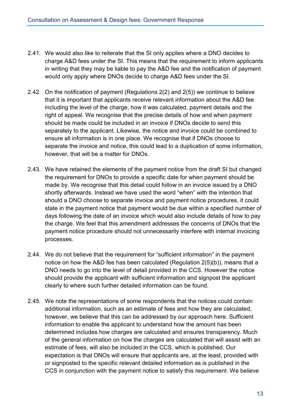- charge A&D fees under the SI. This means that the requirement to inform applicants 2.41. We would also like to reiterate that the SI only applies where a DNO decides to in writing that they may be liable to pay the A&D fee and the notification of payment would only apply where DNOs decide to charge A&D fees under the SI.
- that it is important that applicants receive relevant information about the A&D fee right of appeal. We recognise that the precise details of how and when payment 2.42. On the notification of payment (Regulations  $2(2)$  and  $2(5)$ ) we continue to believe including the level of the charge, how it was calculated, payment details and the should be made could be included in an invoice if DNOs decide to send this separately to the applicant. Likewise, the notice and invoice could be combined to ensure all information is in one place. We recognise that if DNOs choose to separate the invoice and notice, this could lead to a duplication of some information, however, that will be a matter for DNOs.
- 2.43. We have retained the elements of the payment notice from the draft SI but changed made by. We recognise that this detail could follow in an invoice issued by a DNO should a DNO choose to separate invoice and payment notice procedures, it could payment notice procedure should not unnecessarily interfere with internal invoicing the requirement for DNOs to provide a specific date for when payment should be shortly afterwards. Instead we have used the word "when" with the intention that state in the payment notice that payment would be due within a specified number of days following the date of an invoice which would also include details of how to pay the charge. We feel that this amendment addresses the concerns of DNOs that the processes.
- 2.44. We do not believe that the requirement for "sufficient information" in the payment clearly to where such further detailed information can be found. notice on how the A&D fee has been calculated (Regulation 2(5)(b)), means that a DNO needs to go into the level of detail provided in the CCS. However the notice should provide the applicant with sufficient information and signpost the applicant
- expectation is that DNOs will ensure that applicants are, at the least, provided with 2.45. We note the representations of some respondents that the notices could contain additional information, such as an estimate of fees and how they are calculated, however, we believe that this can be addressed by our approach here. Sufficient information to enable the applicant to understand how the amount has been determined includes how charges are calculated and ensures transparency. Much of the general information on how the charges are calculated that will assist with an estimate of fees, will also be included in the CCS, which is published. Our or signposted to the specific relevant detailed information as is published in the CCS in conjunction with the payment notice to satisfy this requirement. We believe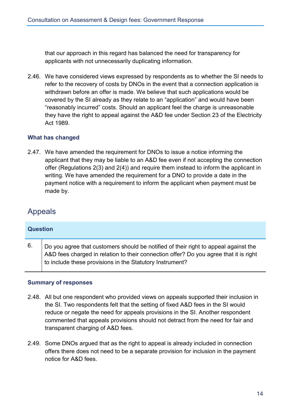that our approach in this regard has balanced the need for transparency for applicants with not unnecessarily duplicating information.

 "reasonably incurred" costs. Should an applicant feel the charge is unreasonable they have the right to appeal against the A&D fee under Section 23 of the Electricity 2.46. We have considered views expressed by respondents as to whether the SI needs to refer to the recovery of costs by DNOs in the event that a connection application is withdrawn before an offer is made. We believe that such applications would be covered by the SI already as they relate to an "application" and would have been Act 1989.

#### **What has changed**

2.47. We have amended the requirement for DNOs to issue a notice informing the applicant that they may be liable to an A&D fee even if not accepting the connection offer (Regulations 2(3) and 2(4)) and require them instead to inform the applicant in writing. We have amended the requirement for a DNO to provide a date in the payment notice with a requirement to inform the applicant when payment must be made by.

### Appeals

| <b>Question</b> |                                                                                                                                                                                                                                          |
|-----------------|------------------------------------------------------------------------------------------------------------------------------------------------------------------------------------------------------------------------------------------|
| 6.              | Do you agree that customers should be notified of their right to appeal against the<br>A&D fees charged in relation to their connection offer? Do you agree that it is right<br>to include these provisions in the Statutory Instrument? |

#### **Summary of responses**

- the SI. Two respondents felt that the setting of fixed A&D fees in the SI would 2.48. All but one respondent who provided views on appeals supported their inclusion in reduce or negate the need for appeals provisions in the SI. Another respondent commented that appeals provisions should not detract from the need for fair and transparent charging of A&D fees.
- 2.49. Some DNOs argued that as the right to appeal is already included in connection offers there does not need to be a separate provision for inclusion in the payment notice for A&D fees.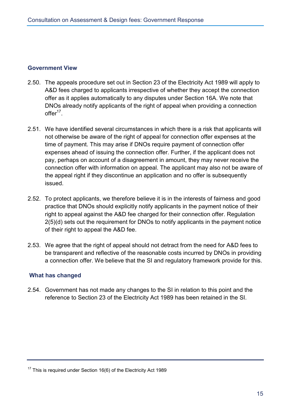#### **Government View**

- offer as it applies automatically to any disputes under Section 16A. We note that 2.50. The appeals procedure set out in Section 23 of the Electricity Act 1989 will apply to A&D fees charged to applicants irrespective of whether they accept the connection DNOs already notify applicants of the right of appeal when providing a connection  $offer<sup>17</sup>$ .
- time of payment. This may arise if DNOs require payment of connection offer 2.51. We have identified several circumstances in which there is a risk that applicants will not otherwise be aware of the right of appeal for connection offer expenses at the expenses ahead of issuing the connection offer. Further, if the applicant does not pay, perhaps on account of a disagreement in amount, they may never receive the connection offer with information on appeal. The applicant may also not be aware of the appeal right if they discontinue an application and no offer is subsequently issued.
- 2.52. To protect applicants, we therefore believe it is in the interests of fairness and good practice that DNOs should explicitly notify applicants in the payment notice of their right to appeal against the A&D fee charged for their connection offer. Regulation 2(5)(d) sets out the requirement for DNOs to notify applicants in the payment notice of their right to appeal the A&D fee.
- 2.53. We agree that the right of appeal should not detract from the need for A&D fees to be transparent and reflective of the reasonable costs incurred by DNOs in providing a connection offer. We believe that the SI and regulatory framework provide for this.

#### **What has changed**

2.54. Government has not made any changes to the SI in relation to this point and the reference to Section 23 of the Electricity Act 1989 has been retained in the SI.

 $17$  This is required under Section 16(6) of the Electricity Act 1989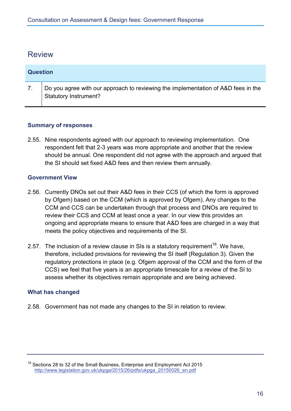#### Review

| <b>Question</b> |                                                                                                                   |  |
|-----------------|-------------------------------------------------------------------------------------------------------------------|--|
|                 | Do you agree with our approach to reviewing the implementation of A&D fees in the<br><b>Statutory Instrument?</b> |  |

#### **Summary of responses**

2.55. Nine respondents agreed with our approach to reviewing implementation. One respondent felt that 2-3 years was more appropriate and another that the review should be annual. One respondent did not agree with the approach and argued that the SI should set fixed A&D fees and then review them annually.

#### **Government View**

- ongoing and appropriate means to ensure that A&D fees are charged in a way that meets the policy objectives and requirements of the SI. 2.56. Currently DNOs set out their A&D fees in their CCS (of which the form is approved by Ofgem) based on the CCM (which is approved by Ofgem). Any changes to the CCM and CCS can be undertaken through that process and DNOs are required to review their CCS and CCM at least once a year. In our view this provides an
- regulatory protections in place (e.g. Ofgem approval of the CCM and the form of the CCS) we feel that five years is an appropriate timescale for a review of the SI to 2.57. The inclusion of a review clause in SIs is a statutory requirement<sup>18</sup>. We have, therefore, included provisions for reviewing the SI itself (Regulation 3). Given the assess whether its objectives remain appropriate and are being achieved.

#### **What has changed**

2.58. Government has not made any changes to the SI in relation to review.

http://www.legislation.gov.uk/ukpga/2015/26/pdfs/ukpga\_20150026\_en.pdf <sup>18</sup> Sections 28 to 32 of the Small Business, Enterprise and Employment Act 2015 http://www.legislation.gov.uk/ukpga/2015/26/pdfs/ukpga\_20150026\_en.pdf<br> 16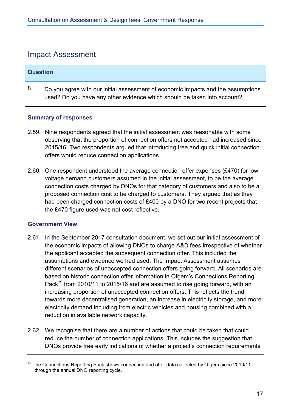#### Impact Assessment

|    | <b>Question</b>                                                                                                                                              |  |  |
|----|--------------------------------------------------------------------------------------------------------------------------------------------------------------|--|--|
| 8. | Do you agree with our initial assessment of economic impacts and the assumptions<br>used? Do you have any other evidence which should be taken into account? |  |  |

#### **Summary of responses**

- 2.59. Nine respondents agreed that the initial assessment was reasonable with some observing that the proportion of connection offers not accepted had increased since 2015/16. Two respondents argued that introducing free and quick initial connection offers would reduce connection applications.
- 2.60. One respondent understood the average connection offer expenses (£470) for low proposed connection cost to be charged to customers. They argued that as they voltage demand customers assumed in the initial assessment, to be the average connection costs charged by DNOs for that category of customers and also to be a had been charged connection costs of £400 by a DNO for two recent projects that the £470 figure used was not cost reflective.

#### **Government View**

- the economic impacts of allowing DNOs to charge A&D fees irrespective of whether Pack<sup>19</sup> from 2010/11 to 2015/16 and are assumed to rise going forward, with an electricity demand including from electric vehicles and housing combined with a 2.61. In the September 2017 consultation document, we set out our initial assessment of the applicant accepted the subsequent connection offer. This included the assumptions and evidence we had used. The Impact Assessment assumes different scenarios of unaccepted connection offers going forward. All scenarios are based on historic connection offer information in Ofgem's Connections Reporting increasing proportion of unaccepted connection offers. This reflects the trend towards more decentralised generation, an increase in electricity storage, and more reduction in available network capacity.
- reduce the number of connection applications. This includes the suggestion that 2.62. We recognise that there are a number of actions that could be taken that could DNOs provide free early indications of whether a project's connection requirements

<sup>&</sup>lt;sup>19</sup> The Connections Reporting Pack shows connection and offer data collected by Ofgem since 2010/11 through the annual DNO reporting cycle.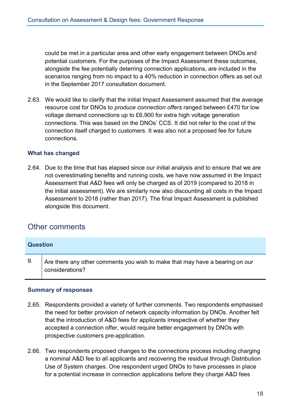could be met in a particular area and other early engagement between DNOs and in the September 2017 consultation document. potential customers. For the purposes of the Impact Assessment these outcomes, alongside the fee potentially deterring connection applications, are included in the scenarios ranging from no impact to a 40% reduction in connection offers as set out

in the September 2017 consultation document.<br>2.63. We would like to clarify that the initial Impact Assessment assumed that the average resource cost for DNOs to *produce connection offers* ranged between £470 for low connections. voltage demand connections up to £6,900 for extra high voltage generation connections. This was based on the DNOs' CCS. It did not refer to the cost of the connection itself charged to customers. It was also not a proposed fee for future

#### **What has changed**

 the initial assessment). We are similarly now also discounting all costs in the Impact 2.64. Due to the time that has elapsed since our initial analysis and to ensure that we are not overestimating benefits and running costs, we have now assumed in the Impact Assessment that A&D fees will only be charged as of 2019 (compared to 2018 in Assessment to 2018 (rather than 2017). The final Impact Assessment is published alongside this document.

#### Other comments

| <b>Question</b> |                                                                                                 |  |
|-----------------|-------------------------------------------------------------------------------------------------|--|
| 9.              | Are there any other comments you wish to make that may have a bearing on our<br>considerations? |  |

#### **Summary of responses**

- the need for better provision of network capacity information by DNOs. Another felt 2.65. Respondents provided a variety of further comments. Two respondents emphasised that the introduction of A&D fees for applicants irrespective of whether they accepted a connection offer, would require better engagement by DNOs with prospective customers pre-application.
- for a potential increase in connection applications before they charge A&D fees 2.66. Two respondents proposed changes to the connections process including charging a nominal A&D fee to all applicants and recovering the residual through Distribution Use of System charges. One respondent urged DNOs to have processes in place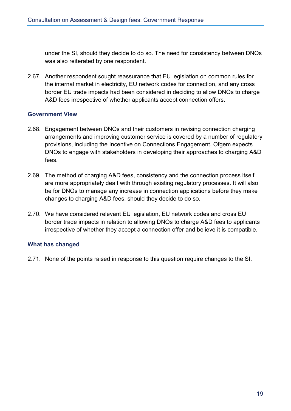under the SI, should they decide to do so. The need for consistency between DNOs was also reiterated by one respondent.

2.67. Another respondent sought reassurance that EU legislation on common rules for the internal market in electricity, EU network codes for connection, and any cross border EU trade impacts had been considered in deciding to allow DNOs to charge A&D fees irrespective of whether applicants accept connection offers.

#### **Government View**

- provisions, including the Incentive on Connections Engagement. Ofgem expects 2.68. Engagement between DNOs and their customers in revising connection charging arrangements and improving customer service is covered by a number of regulatory DNOs to engage with stakeholders in developing their approaches to charging A&D fees.
- be for DNOs to manage any increase in connection applications before they make changes to charging A&D fees, should they decide to do so. 2.69. The method of charging A&D fees, consistency and the connection process itself are more appropriately dealt with through existing regulatory processes. It will also
- border trade impacts in relation to allowing DNOs to charge A&D fees to applicants 2.70. We have considered relevant EU legislation, EU network codes and cross EU irrespective of whether they accept a connection offer and believe it is compatible.

#### **What has changed**

2.71. None of the points raised in response to this question require changes to the SI.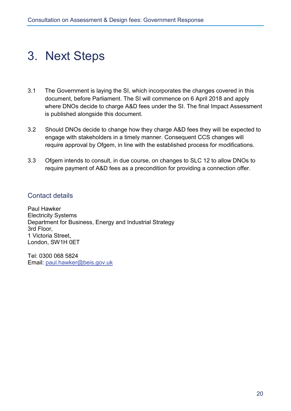## 3. Next Steps

- 3.1 The Government is laying the SI, which incorporates the changes covered in this where DNOs decide to charge A&D fees under the SI. The final Impact Assessment document, before Parliament. The SI will commence on 6 April 2018 and apply is published alongside this document.
- 3.2 Should DNOs decide to change how they charge A&D fees they will be expected to engage with stakeholders in a timely manner. Consequent CCS changes will require approval by Ofgem, in line with the established process for modifications.
- require payment of A&D fees as a precondition for providing a connection offer. 3.3 Ofgem intends to consult, in due course, on changes to SLC 12 to allow DNOs to

#### Contact details

 Department for Business, Energy and Industrial Strategy Paul Hawker Electricity Systems 3rd Floor, 1 Victoria Street,

London, SW1H 0ET<br>Tel: 0300 068 5824 Email: paul.hawker@beis.gov.uk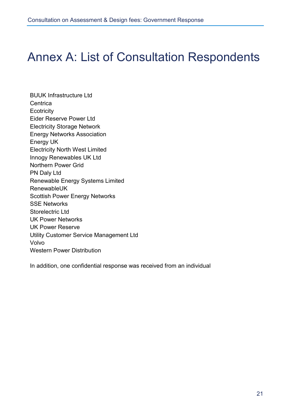## Annex A: List of Consultation Respondents

BUUK Infrastructure Ltd **Centrica Ecotricity** Eider Reserve Power Ltd Electricity Storage Network Energy Networks Association Energy UK Electricity North West Limited Innogy Renewables UK Ltd Northern Power Grid PN Daly Ltd Renewable Energy Systems Limited RenewableUK Scottish Power Energy Networks SSE Networks Storelectric Ltd UK Power Networks UK Power Reserve Utility Customer Service Management Ltd Volvo Western Power Distribution

In addition, one confidential response was received from an individual